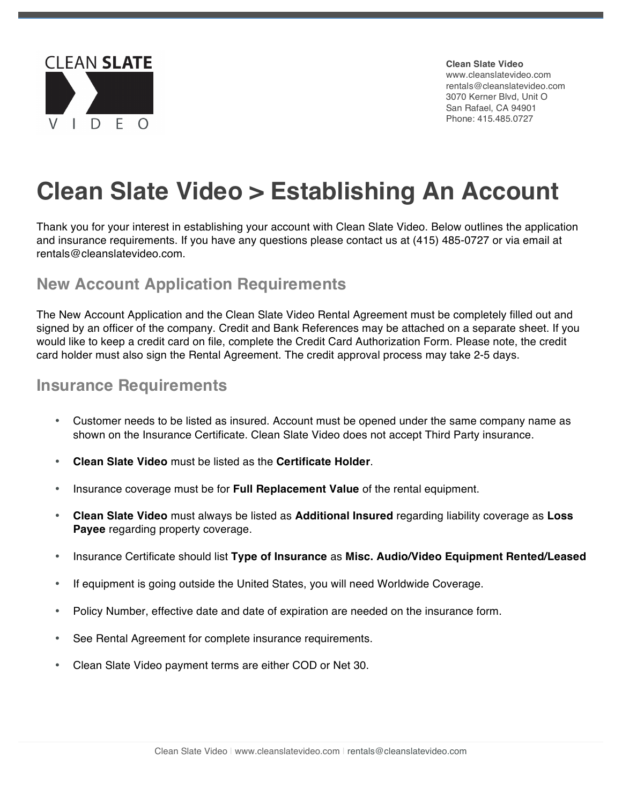

**Clean Slate Video** www.cleanslatevideo.com rentals@cleanslatevideo.com 3070 Kerner Blvd, Unit O San Rafael, CA 94901 Phone: 415.485.0727

# **Clean Slate Video > Establishing An Account**

Thank you for your interest in establishing your account with Clean Slate Video. Below outlines the application and insurance requirements. If you have any questions please contact us at (415) 485-0727 or via email at rentals@cleanslatevideo.com.

#### **New Account Application Requirements**

The New Account Application and the Clean Slate Video Rental Agreement must be completely filled out and signed by an officer of the company. Credit and Bank References may be attached on a separate sheet. If you would like to keep a credit card on file, complete the Credit Card Authorization Form. Please note, the credit card holder must also sign the Rental Agreement. The credit approval process may take 2-5 days.

#### **Insurance Requirements**

- Customer needs to be listed as insured. Account must be opened under the same company name as shown on the Insurance Certificate. Clean Slate Video does not accept Third Party insurance.
- **Clean Slate Video** must be listed as the **Certificate Holder**.
- Insurance coverage must be for **Full Replacement Value** of the rental equipment.
- **Clean Slate Video** must always be listed as **Additional Insured** regarding liability coverage as **Loss Payee** regarding property coverage.
- Insurance Certificate should list **Type of Insurance** as **Misc. Audio/Video Equipment Rented/Leased**
- If equipment is going outside the United States, you will need Worldwide Coverage.
- Policy Number, effective date and date of expiration are needed on the insurance form.
- See Rental Agreement for complete insurance requirements.
- Clean Slate Video payment terms are either COD or Net 30.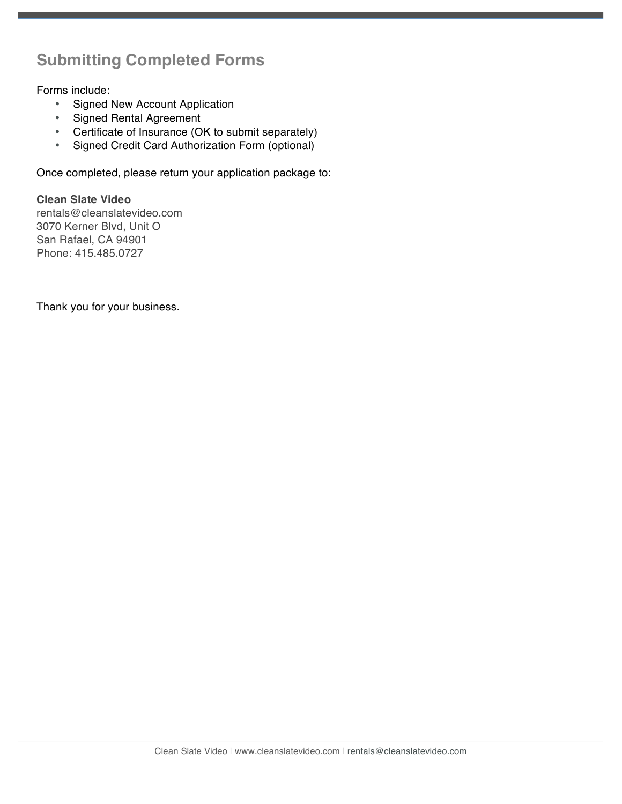### **Submitting Completed Forms**

Forms include:

- Signed New Account Application
- Signed Rental Agreement
- Certificate of Insurance (OK to submit separately)
- Signed Credit Card Authorization Form (optional)

Once completed, please return your application package to:

**Clean Slate Video** rentals@cleanslatevideo.com 3070 Kerner Blvd, Unit O San Rafael, CA 94901 Phone: 415.485.0727

Thank you for your business.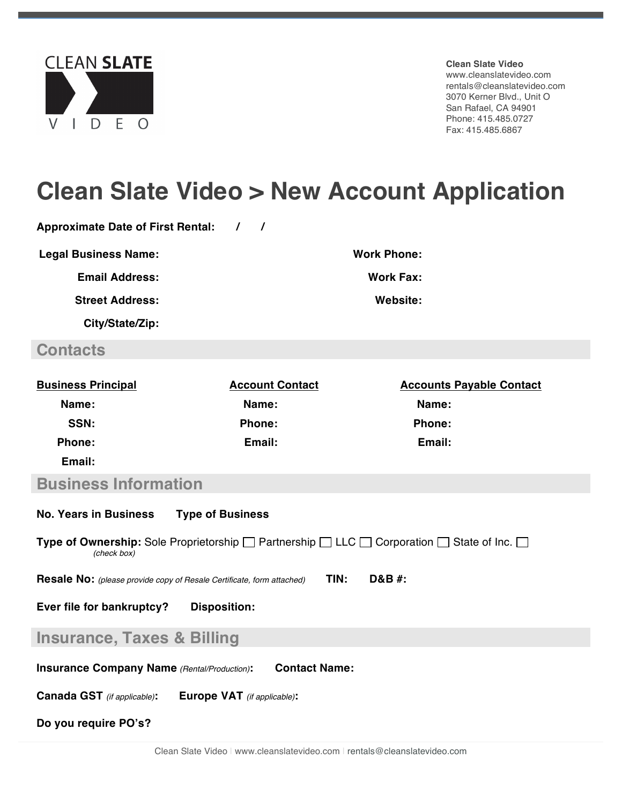

**Clean Slate Video**

www.cleanslatevideo.com rentals@cleanslatevideo.com 3070 Kerner Blvd., Unit O San Rafael, CA 94901 Phone: 415.485.0727 Fax: 415.485.6867

## **Clean Slate Video > New Account Application**

**Approximate Date of First Rental: / /** 

**Legal Business Name: Work Phone: Work Phone:** 

**Email Address: Work Fax: Work Fax:** 

**Street Address: Website:**

**City/State/Zip:**

### **Contacts**

| <b>Business Principal</b> | <b>Account Contact</b> | <b>Accounts Payable Contact</b> |
|---------------------------|------------------------|---------------------------------|
| Name:                     | Name:                  | Name:                           |
| SSN:                      | <b>Phone:</b>          | <b>Phone:</b>                   |
| <b>Phone:</b>             | Email:                 | Email:                          |
| Email:                    |                        |                                 |
| _____<br>___              |                        |                                 |

#### **Business Information**

| <b>No. Years in Business</b><br><b>Type of Business</b>                                                                                   |  |  |  |
|-------------------------------------------------------------------------------------------------------------------------------------------|--|--|--|
| <b>Type of Ownership:</b> Sole Proprietorship $\Box$ Partnership $\Box$ LLC $\Box$ Corporation $\Box$ State of Inc. $\Box$<br>(check box) |  |  |  |
| TIN:<br>D&B #:<br><b>Resale No:</b> (please provide copy of Resale Certificate, form attached)                                            |  |  |  |
| Ever file for bankruptcy?<br><b>Disposition:</b>                                                                                          |  |  |  |
| <b>Insurance, Taxes &amp; Billing</b>                                                                                                     |  |  |  |
| <b>Contact Name:</b><br><b>Insurance Company Name</b> (Rental/Production):                                                                |  |  |  |
| <b>Canada GST</b> (if applicable):<br><b>Europe VAT</b> (if applicable):                                                                  |  |  |  |

**Do you require PO's?**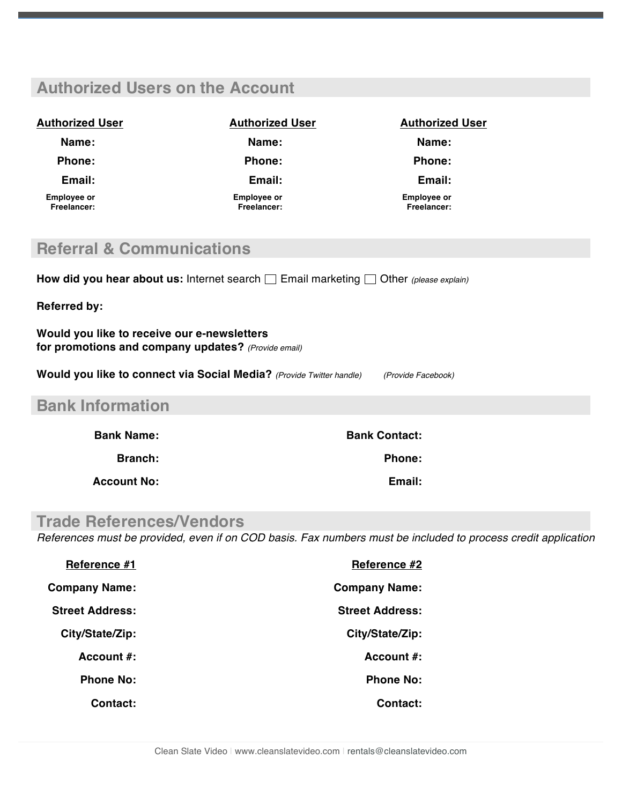### **Authorized Users on the Account Authorized User Authorized User Authorized User Name: Name: Name: Phone: Phone: Phone: Email: Email: Email: Employee or Freelancer: Employee or Freelancer: Employee or Freelancer: Referral & Communications** How did you hear about us: Internet search **Example 10** Other *(please explain)* **Referred by: Would you like to receive our e-newsletters for promotions and company updates?** *(Provide email)*  **Would you like to connect via Social Media?** *(Provide Twitter handle) (Provide Facebook)* **Bank Information Bank Name: Bank Contact: Branch:** Phone: **Account No: Email: Trade References/Vendors** *References must be provided, even if on COD basis. Fax numbers must be included to process credit application*

| Reference #1           | Reference #2           |
|------------------------|------------------------|
| <b>Company Name:</b>   | <b>Company Name:</b>   |
| <b>Street Address:</b> | <b>Street Address:</b> |
| City/State/Zip:        | City/State/Zip:        |
| Account $\#$ :         | Account $\#$ :         |
| <b>Phone No:</b>       | <b>Phone No:</b>       |
| Contact:               | Contact:               |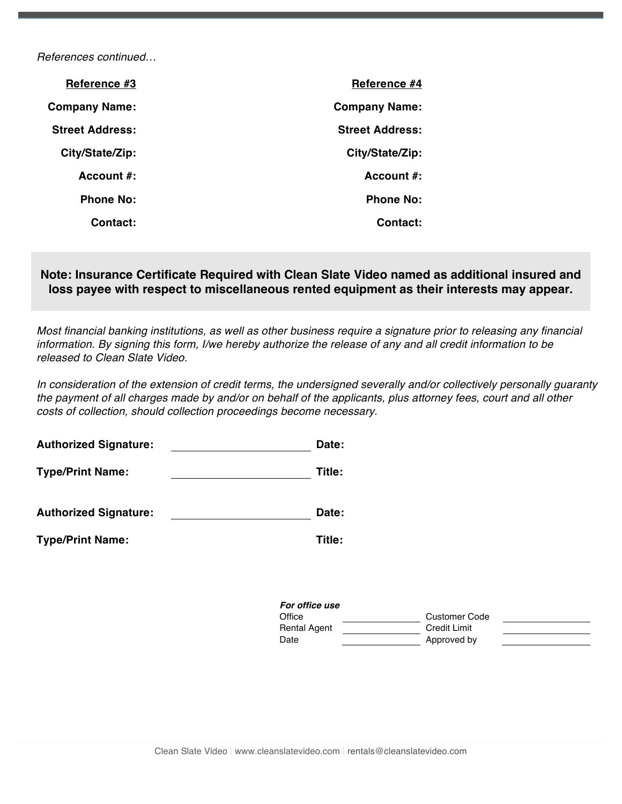*References continued…*

| Reference #3           | Reference #4           |
|------------------------|------------------------|
| <b>Company Name:</b>   | <b>Company Name:</b>   |
| <b>Street Address:</b> | <b>Street Address:</b> |
| City/State/Zip:        | City/State/Zip:        |
| Account $#$ :          | Account $\#$ :         |
| <b>Phone No:</b>       | <b>Phone No:</b>       |
| Contact:               | Contact:               |

**Note: Insurance Certificate Required with Clean Slate Video named as additional insured and loss payee with respect to miscellaneous rented equipment as their interests may appear.**

*Most financial banking institutions, as well as other business require a signature prior to releasing any financial information. By signing this form, I/we hereby authorize the release of any and all credit information to be released to Clean Slate Video.*

*In consideration of the extension of credit terms, the undersigned severally and/or collectively personally guaranty the payment of all charges made by and/or on behalf of the applicants, plus attorney fees, court and all other costs of collection, should collection proceedings become necessary.*

| <b>Authorized Signature:</b> | Date:                    |                      |
|------------------------------|--------------------------|----------------------|
| <b>Type/Print Name:</b>      | Title:                   |                      |
| <b>Authorized Signature:</b> | Date:                    |                      |
| <b>Type/Print Name:</b>      | Title:                   |                      |
|                              |                          |                      |
|                              | For office use<br>Office | <b>Customer Code</b> |

Rental Agent Credit Limit Date **Date** Approved by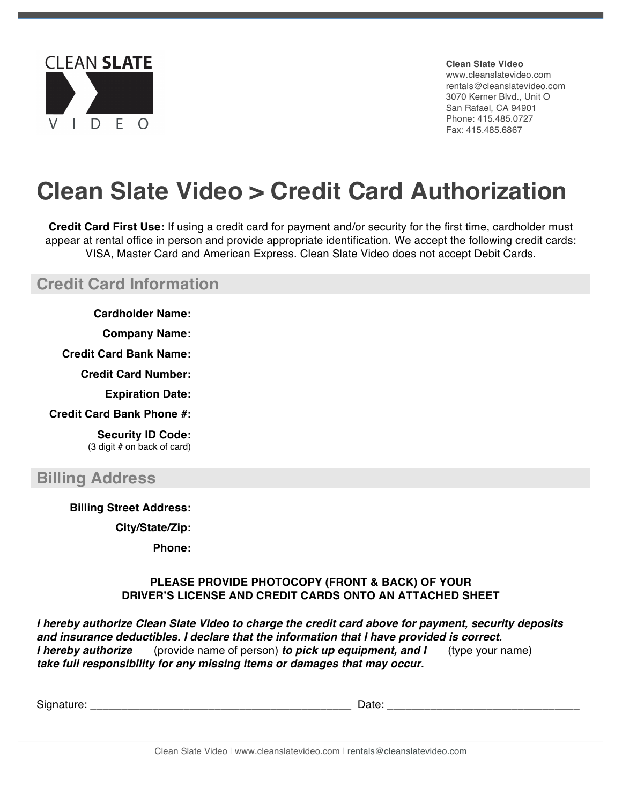

**Clean Slate Video** www.cleanslatevideo.com rentals@cleanslatevideo.com 3070 Kerner Blvd., Unit O San Rafael, CA 94901 Phone: 415.485.0727 Fax: 415.485.6867

# **Clean Slate Video > Credit Card Authorization**

**Credit Card First Use:** If using a credit card for payment and/or security for the first time, cardholder must appear at rental office in person and provide appropriate identification. We accept the following credit cards: VISA, Master Card and American Express. Clean Slate Video does not accept Debit Cards.

**Credit Card Information**

**Cardholder Name:**

**Company Name:**

**Credit Card Bank Name:**

**Credit Card Number:**

**Expiration Date:**

**Credit Card Bank Phone #:**

**Security ID Code:** (3 digit # on back of card)

### **Billing Address**

**Billing Street Address:**

**City/State/Zip:**

**Phone:**

#### **PLEASE PROVIDE PHOTOCOPY (FRONT & BACK) OF YOUR DRIVER'S LICENSE AND CREDIT CARDS ONTO AN ATTACHED SHEET**

*I hereby authorize Clean Slate Video to charge the credit card above for payment, security deposits and insurance deductibles. I declare that the information that I have provided is correct. I hereby authorize* (provide name of person) *to pick up equipment, and I* (type your name) *take full responsibility for any missing items or damages that may occur.*

| Signature.<br>---- |  |
|--------------------|--|
|--------------------|--|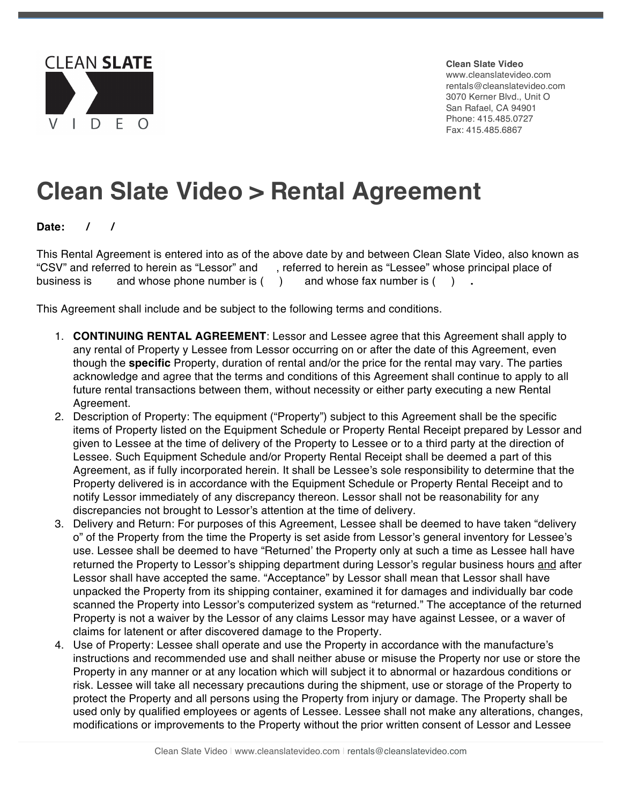

**Clean Slate Video** www.cleanslatevideo.com rentals@cleanslatevideo.com 3070 Kerner Blvd., Unit O San Rafael, CA 94901 Phone: 415.485.0727 Fax: 415.485.6867

## **Clean Slate Video > Rental Agreement**

**Date: / /** 

This Rental Agreement is entered into as of the above date by and between Clean Slate Video, also known as "CSV" and referred to herein as "Lessor" and , referred to herein as "Lessee" whose principal place of business is and whose phone number is ( ) and whose fax number is ( ) **.** 

This Agreement shall include and be subject to the following terms and conditions.

- 1. **CONTINUING RENTAL AGREEMENT**: Lessor and Lessee agree that this Agreement shall apply to any rental of Property y Lessee from Lessor occurring on or after the date of this Agreement, even though the **specific** Property, duration of rental and/or the price for the rental may vary. The parties acknowledge and agree that the terms and conditions of this Agreement shall continue to apply to all future rental transactions between them, without necessity or either party executing a new Rental Agreement.
- 2. Description of Property: The equipment ("Property") subject to this Agreement shall be the specific items of Property listed on the Equipment Schedule or Property Rental Receipt prepared by Lessor and given to Lessee at the time of delivery of the Property to Lessee or to a third party at the direction of Lessee. Such Equipment Schedule and/or Property Rental Receipt shall be deemed a part of this Agreement, as if fully incorporated herein. It shall be Lessee's sole responsibility to determine that the Property delivered is in accordance with the Equipment Schedule or Property Rental Receipt and to notify Lessor immediately of any discrepancy thereon. Lessor shall not be reasonability for any discrepancies not brought to Lessor's attention at the time of delivery.
- 3. Delivery and Return: For purposes of this Agreement, Lessee shall be deemed to have taken "delivery o" of the Property from the time the Property is set aside from Lessor's general inventory for Lessee's use. Lessee shall be deemed to have "Returned' the Property only at such a time as Lessee hall have returned the Property to Lessor's shipping department during Lessor's regular business hours and after Lessor shall have accepted the same. "Acceptance" by Lessor shall mean that Lessor shall have unpacked the Property from its shipping container, examined it for damages and individually bar code scanned the Property into Lessor's computerized system as "returned." The acceptance of the returned Property is not a waiver by the Lessor of any claims Lessor may have against Lessee, or a waver of claims for latenent or after discovered damage to the Property.
- 4. Use of Property: Lessee shall operate and use the Property in accordance with the manufacture's instructions and recommended use and shall neither abuse or misuse the Property nor use or store the Property in any manner or at any location which will subject it to abnormal or hazardous conditions or risk. Lessee will take all necessary precautions during the shipment, use or storage of the Property to protect the Property and all persons using the Property from injury or damage. The Property shall be used only by qualified employees or agents of Lessee. Lessee shall not make any alterations, changes, modifications or improvements to the Property without the prior written consent of Lessor and Lessee